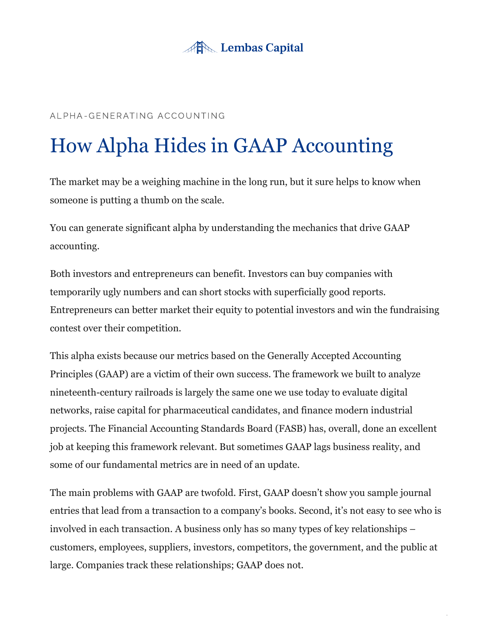

#### ALPHA-GENERATING ACCOUNTING

# How Alpha Hides in GAAP Accounting

The market may be a weighing machine in the long run, but it sure helps to know when someone is putting a thumb on the scale.

You can generate significant alpha by understanding the mechanics that drive GAAP accounting.

Both investors and entrepreneurs can benefit. Investors can buy companies with temporarily ugly numbers and can short stocks with superficially good reports. Entrepreneurs can better market their equity to potential investors and win the fundraising contest over their competition.

This alpha exists because our metrics based on the Generally Accepted Accounting Principles (GAAP) are a victim of their own success. The framework we built to analyze nineteenth-century railroads is largely the same one we use today to evaluate digital networks, raise capital for pharmaceutical candidates, and finance modern industrial projects. The Financial Accounting Standards Board (FASB) has, overall, done an excellent job at keeping this framework relevant. But sometimes GAAP lags business reality, and some of our fundamental metrics are in need of an update.

The main problems with GAAP are twofold. First, GAAP doesn't show you sample journal entries that lead from a transaction to a company's books. Second, it's not easy to see who is involved in each transaction. A business only has so many types of key relationships – customers, employees, suppliers, investors, competitors, the government, and the public at large. Companies track these relationships; GAAP does not.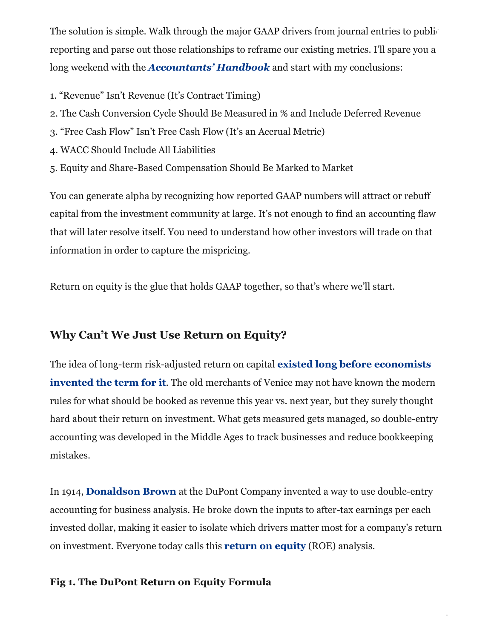The solution is simple. Walk through the major GAAP drivers from journal entries to public reporting and parse out those relationships to reframe our existing metrics. I'll spare you a long weekend with the *[Accountants' Handbook](https://www.wiley.com/en-us/Accountants%27+Handbook%2C+2+Volume+Set%2C+12th+Edition-p-9781118171806)* and start with my conclusions:

- 1. "Revenue" Isn't Revenue (It's Contract Timing)
- 2. The Cash Conversion Cycle Should Be Measured in % and Include Deferred Revenue
- 3. "Free Cash Flow" Isn't Free Cash Flow (It's an Accrual Metric)
- 4. WACC Should Include All Liabilities
- 5. Equity and Share-Based Compensation Should Be Marked to Market

You can generate alpha by recognizing how reported GAAP numbers will attract or rebuff capital from the investment community at large. It's not enough to find an accounting flaw that will later resolve itself. You need to understand how other investors will trade on that information in order to capture the mispricing.

Return on equity is the glue that holds GAAP together, so that's where we'll start.

### **Why Can't We Just Use Return on Equity?**

The idea of long-term risk-adjusted return on capital **existed long before economists invented the term for it.** The old merchants of Venice may not have known the modern rules for what should be booked as revenue this year vs. next year, but they surely thought hard about their return on investment. What gets measured gets managed, so double-entry accounting was developed in the Middle Ages to track businesses and reduce bookkeeping mistakes.

In 1914, **[Donaldson Brown](https://en.wikipedia.org/wiki/Donaldson_Brown)** at the DuPont Company invented a way to use double-entry accounting for business analysis. He broke down the inputs to after-tax earnings per each invested dollar, making it easier to isolate which drivers matter most for a company's return on investment. Everyone today calls this **[return on equity](https://www.jstor.org/stable/43486728?seq=1)** (ROE) analysis.

#### **Fig 1. The DuPont Return on Equity Formula**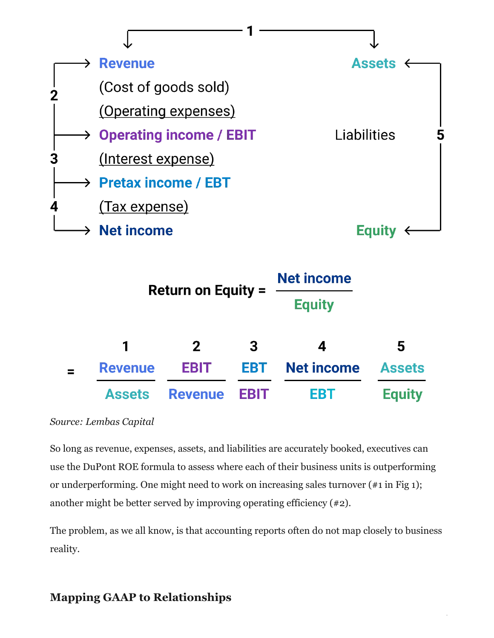

|                | <b>Return on Equity =</b> |                          | <b>Net income</b> |               |
|----------------|---------------------------|--------------------------|-------------------|---------------|
|                |                           |                          | <b>Equity</b>     |               |
| 1              | $\mathbf{P}$              | 3                        |                   | 5             |
| <b>Revenue</b> | <b>EBIT</b>               | <b>Net income</b><br>EBT |                   | <b>Assets</b> |
| <b>Assets</b>  | <b>Revenue</b>            | <b>FRIT</b>              | EBT               | <b>Equity</b> |

*Source: Lembas Capital*

So long as revenue, expenses, assets, and liabilities are accurately booked, executives can use the DuPont ROE formula to assess where each of their business units is outperforming or underperforming. One might need to work on increasing sales turnover (#1 in Fig 1); another might be better served by improving operating efficiency (#2).

The problem, as we all know, is that accounting reports often do not map closely to business reality.

## **Mapping GAAP to Relationships**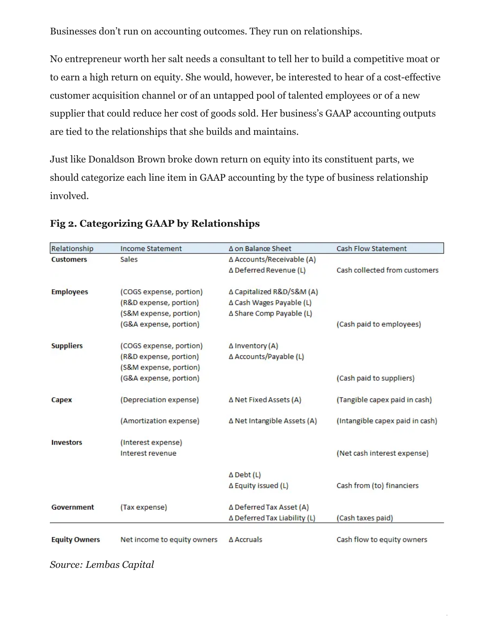Businesses don't run on accounting outcomes. They run on relationships.

No entrepreneur worth her salt needs a consultant to tell her to build a competitive moat or to earn a high return on equity. She would, however, be interested to hear of a cost-effective customer acquisition channel or of an untapped pool of talented employees or of a new supplier that could reduce her cost of goods sold. Her business's GAAP accounting outputs are tied to the relationships that she builds and maintains.

Just like Donaldson Brown broke down return on equity into its constituent parts, we should categorize each line item in GAAP accounting by the type of business relationship involved.

| Relationship         | Income Statement            | A on Balance Sheet            | Cash Flow Statement             |
|----------------------|-----------------------------|-------------------------------|---------------------------------|
| <b>Customers</b>     | Sales                       | ∆ Accounts/Receivable (A)     |                                 |
|                      |                             | ∆ Deferred Revenue (L)        | Cash collected from customers   |
| <b>Employees</b>     | (COGS expense, portion)     | ∆ Capitalized R&D/S&M (A)     |                                 |
|                      | (R&D expense, portion)      | ∆ Cash Wages Payable (L)      |                                 |
|                      | (S&M expense, portion)      | ∆ Share Comp Payable (L)      |                                 |
|                      | (G&A expense, portion)      |                               | (Cash paid to employees)        |
| <b>Suppliers</b>     | (COGS expense, portion)     | $\Delta$ Inventory (A)        |                                 |
|                      | (R&D expense, portion)      | ∆ Accounts/Payable (L)        |                                 |
|                      | (S&M expense, portion)      |                               |                                 |
|                      | (G&A expense, portion)      |                               | (Cash paid to suppliers)        |
| Capex                | (Depreciation expense)      | $\Delta$ Net Fixed Assets (A) | (Tangible capex paid in cash)   |
|                      | (Amortization expense)      | ∆ Net Intangible Assets (A)   | (Intangible capex paid in cash) |
| <b>Investors</b>     | (Interest expense)          |                               |                                 |
|                      | Interest revenue            |                               | (Net cash interest expense)     |
|                      |                             | $\triangle$ Debt (L)          |                                 |
|                      |                             | $\Delta$ Equity issued (L)    | Cash from (to) financiers       |
| Government           | (Tax expense)               | ∆ Deferred Tax Asset (A)      |                                 |
|                      |                             | ∆ Deferred Tax Liability (L)  | (Cash taxes paid)               |
|                      |                             |                               |                                 |
| <b>Equity Owners</b> | Net income to equity owners | ∆ Accruals                    | Cash flow to equity owners      |

#### **Fig 2. Categorizing GAAP by Relationships**

*Source: Lembas Capital*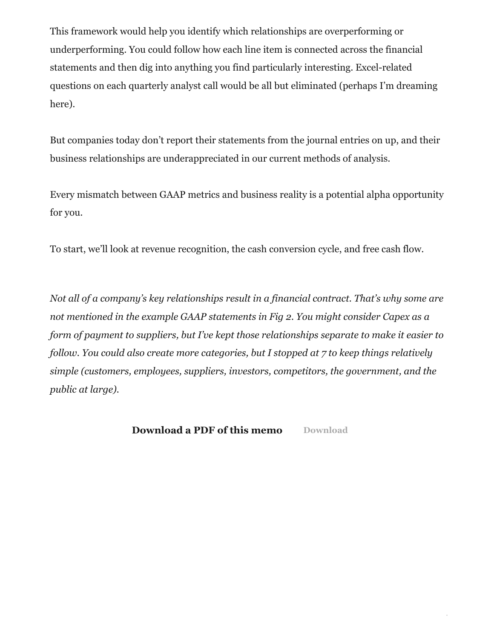This framework would help you identify which relationships are overperforming or underperforming. You could follow how each line item is connected across the financial statements and then dig into anything you find particularly interesting. Excel-related questions on each quarterly analyst call would be all but eliminated (perhaps I'm dreaming here).

But companies today don't report their statements from the journal entries on up, and their business relationships are underappreciated in our current methods of analysis.

Every mismatch between GAAP metrics and business reality is a potential alpha opportunity for you.

To start, we'll look at revenue recognition, the cash conversion cycle, and free cash flow.

*Not all of a company's key relationships result in a financial contract. That's why some are not mentioned in the example GAAP statements in Fig 2. You might consider Capex as a form of payment to suppliers, but I've kept those relationships separate to make it easier to follow. You could also create more categories, but I stopped at 7 to keep things relatively simple (customers, employees, suppliers, investors, competitors, the government, and the public at large).*

**[Download a PDF of this memo](https://lembascapital.com/library/wp-content/uploads/2020/10/Note-to-a-Newly-Liquid-Entrepreneur-_-Lembas-Capital.pdf)** [Download](https://lembascapital.com/library/wp-content/uploads/2020/10/Note-to-a-Newly-Liquid-Entrepreneur-_-Lembas-Capital.pdf)